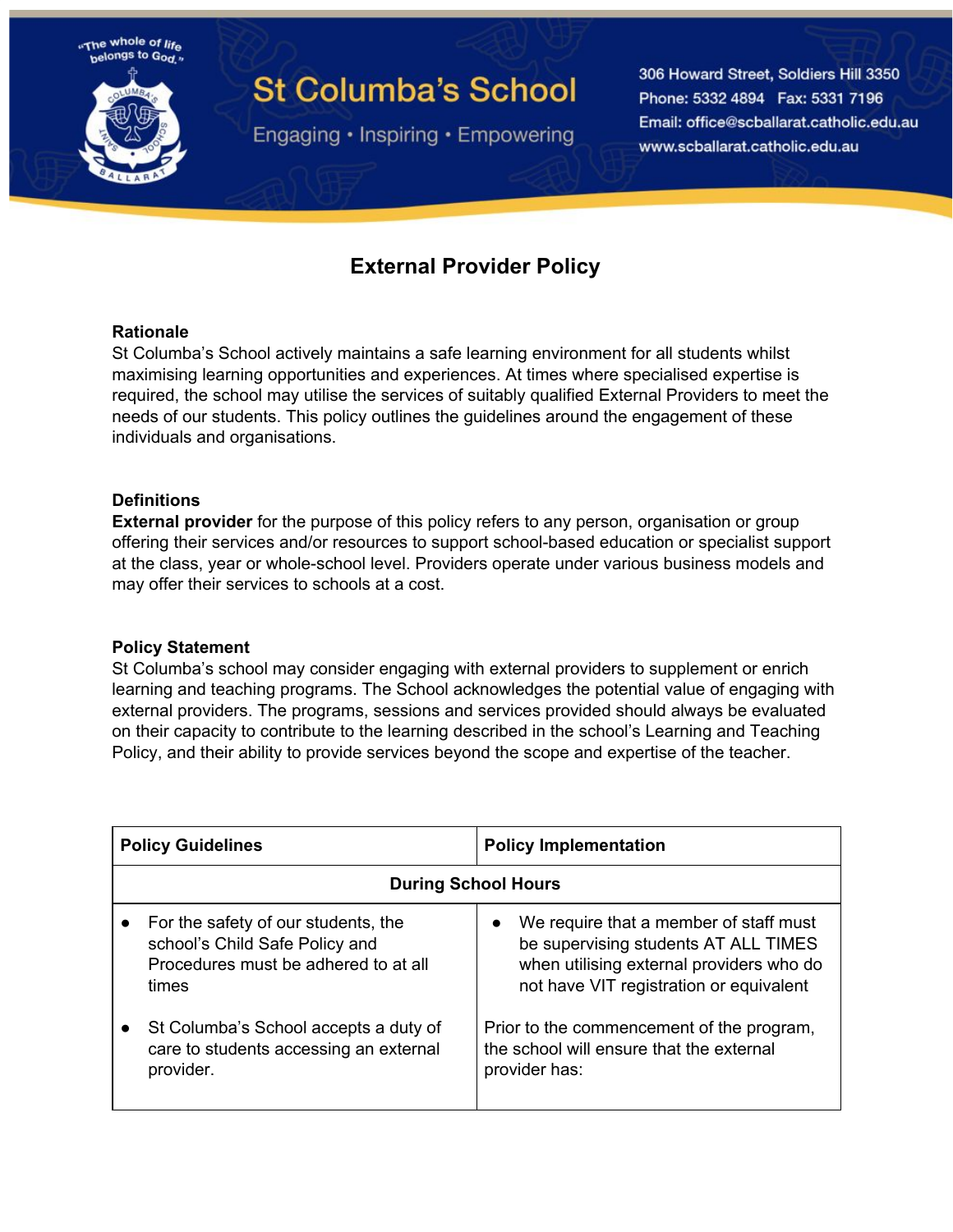

# **St Columba's School**

Engaging · Inspiring · Empowering

306 Howard Street, Soldiers Hill 3350 Phone: 5332 4894 Fax: 5331 7196 Email: office@scballarat.catholic.edu.au www.scballarat.catholic.edu.au

## **External Provider Policy**

#### **Rationale**

St Columba's School actively maintains a safe learning environment for all students whilst maximising learning opportunities and experiences. At times where specialised expertise is required, the school may utilise the services of suitably qualified External Providers to meet the needs of our students. This policy outlines the guidelines around the engagement of these individuals and organisations.

#### **Definitions**

**External provider** for the purpose of this policy refers to any person, organisation or group offering their services and/or resources to support school-based education or specialist support at the class, year or whole-school level. Providers operate under various business models and may offer their services to schools at a cost.

#### **Policy Statement**

St Columba's school may consider engaging with external providers to supplement or enrich learning and teaching programs. The School acknowledges the potential value of engaging with external providers. The programs, sessions and services provided should always be evaluated on their capacity to contribute to the learning described in the school's Learning and Teaching Policy, and their ability to provide services beyond the scope and expertise of the teacher.

| <b>Policy Guidelines</b>   |                                                                                                                        | <b>Policy Implementation</b>                                                                                                                                                       |
|----------------------------|------------------------------------------------------------------------------------------------------------------------|------------------------------------------------------------------------------------------------------------------------------------------------------------------------------------|
| <b>During School Hours</b> |                                                                                                                        |                                                                                                                                                                                    |
| $\bullet$                  | For the safety of our students, the<br>school's Child Safe Policy and<br>Procedures must be adhered to at all<br>times | We require that a member of staff must<br>$\bullet$<br>be supervising students AT ALL TIMES<br>when utilising external providers who do<br>not have VIT registration or equivalent |
| $\bullet$                  | St Columba's School accepts a duty of<br>care to students accessing an external<br>provider.                           | Prior to the commencement of the program,<br>the school will ensure that the external<br>provider has:                                                                             |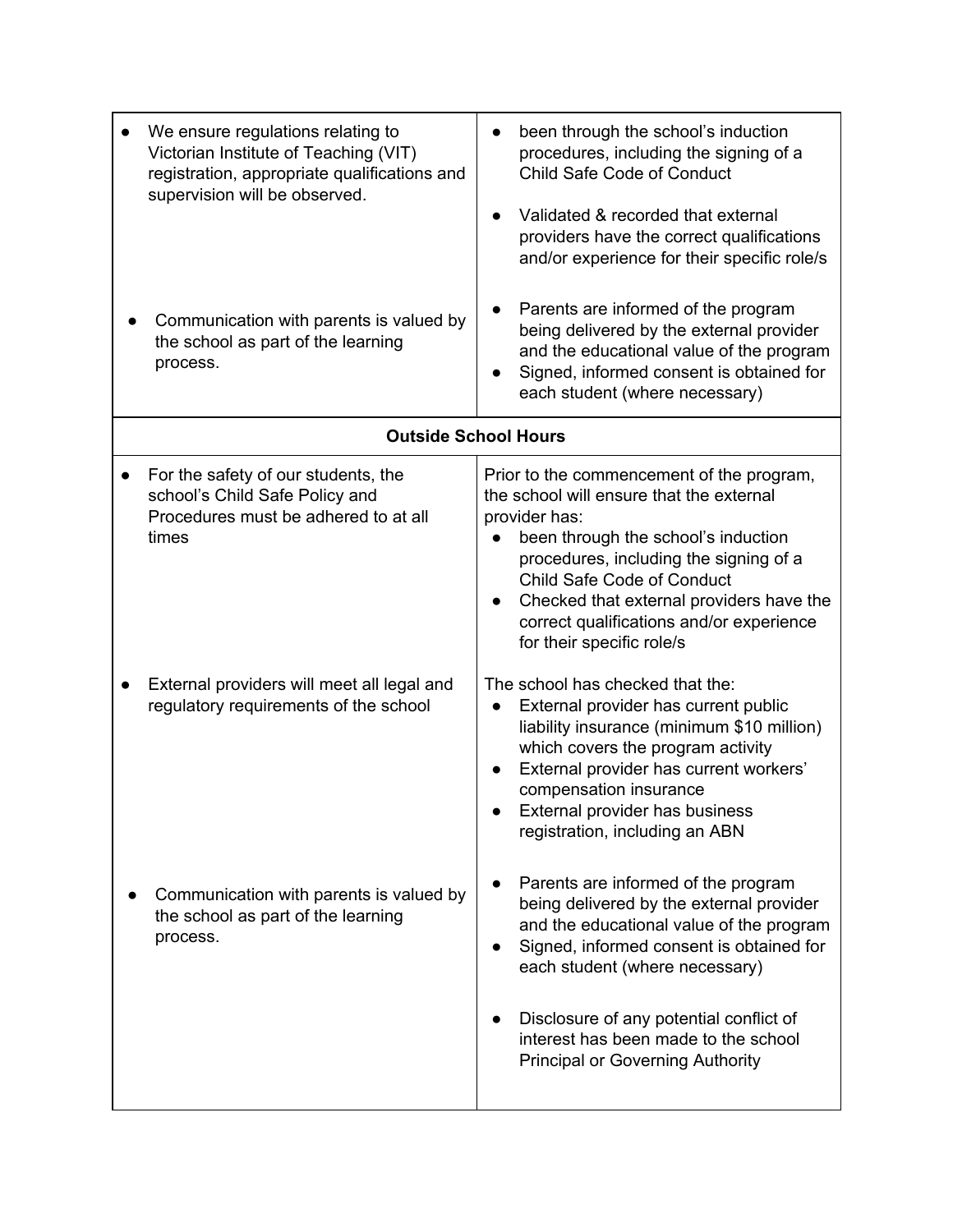| We ensure regulations relating to<br>Victorian Institute of Teaching (VIT)<br>registration, appropriate qualifications and<br>supervision will be observed.<br>Communication with parents is valued by<br>the school as part of the learning<br>process. | been through the school's induction<br>procedures, including the signing of a<br>Child Safe Code of Conduct<br>Validated & recorded that external<br>providers have the correct qualifications<br>and/or experience for their specific role/s<br>Parents are informed of the program<br>being delivered by the external provider<br>and the educational value of the program<br>Signed, informed consent is obtained for<br>each student (where necessary) |  |
|----------------------------------------------------------------------------------------------------------------------------------------------------------------------------------------------------------------------------------------------------------|------------------------------------------------------------------------------------------------------------------------------------------------------------------------------------------------------------------------------------------------------------------------------------------------------------------------------------------------------------------------------------------------------------------------------------------------------------|--|
| <b>Outside School Hours</b>                                                                                                                                                                                                                              |                                                                                                                                                                                                                                                                                                                                                                                                                                                            |  |
| For the safety of our students, the<br>school's Child Safe Policy and<br>Procedures must be adhered to at all<br>times                                                                                                                                   | Prior to the commencement of the program,<br>the school will ensure that the external<br>provider has:<br>been through the school's induction<br>procedures, including the signing of a<br>Child Safe Code of Conduct<br>Checked that external providers have the<br>correct qualifications and/or experience<br>for their specific role/s                                                                                                                 |  |
| External providers will meet all legal and<br>regulatory requirements of the school                                                                                                                                                                      | The school has checked that the:<br>External provider has current public<br>$\bullet$<br>liability insurance (minimum \$10 million)<br>which covers the program activity<br>External provider has current workers'<br>compensation insurance<br>External provider has business<br>registration, including an ABN                                                                                                                                           |  |
| Communication with parents is valued by<br>the school as part of the learning<br>process.                                                                                                                                                                | Parents are informed of the program<br>being delivered by the external provider<br>and the educational value of the program<br>Signed, informed consent is obtained for<br>each student (where necessary)<br>Disclosure of any potential conflict of<br>interest has been made to the school<br><b>Principal or Governing Authority</b>                                                                                                                    |  |